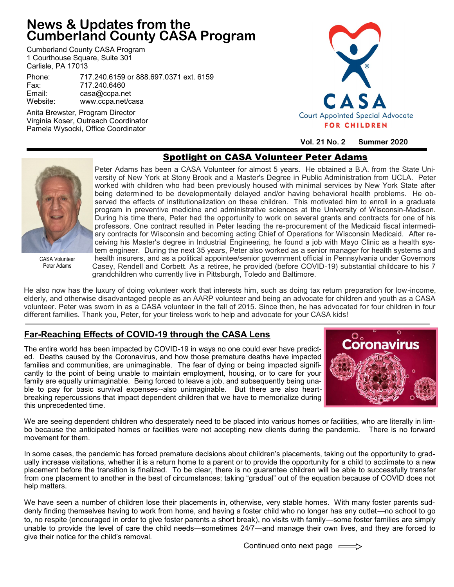# **News & Updates from the Cumberland County CASA Program**

Cumberland County CASA Program 1 Courthouse Square, Suite 301 Carlisle, PA 17013

Phone: 717.240.6159 or 888.697.0371 ext. 6159 717.240.6460 Email: casa@ccpa.net www.ccpa.net/casa

Anita Brewster, Program Director Virginia Koser, Outreach Coordinator Pamela Wysocki, Office Coordinator



**Vol. 21 No. 2 Summer 2020**

# Spotlight on CASA Volunteer Peter Adams



CASA Volunteer Peter Adams

Peter Adams has been a CASA Volunteer for almost 5 years. He obtained a B.A. from the State University of New York at Stony Brook and a Master's Degree in Public Administration from UCLA. Peter worked with children who had been previously housed with minimal services by New York State after being determined to be developmentally delayed and/or having behavioral health problems. He observed the effects of institutionalization on these children. This motivated him to enroll in a graduate program in preventive medicine and administrative sciences at the University of Wisconsin-Madison. During his time there, Peter had the opportunity to work on several grants and contracts for one of his professors. One contract resulted in Peter leading the re-procurement of the Medicaid fiscal intermediary contracts for Wisconsin and becoming acting Chief of Operations for Wisconsin Medicaid. After receiving his Master's degree in Industrial Engineering, he found a job with Mayo Clinic as a health system engineer. During the next 35 years, Peter also worked as a senior manager for health systems and health insurers, and as a political appointee/senior government official in Pennsylvania under Governors Casey, Rendell and Corbett. As a retiree, he provided (before COVID-19) substantial childcare to his 7 grandchildren who currently live in Pittsburgh, Toledo and Baltimore.

He also now has the luxury of doing volunteer work that interests him, such as doing tax return preparation for low-income, elderly, and otherwise disadvantaged people as an AARP volunteer and being an advocate for children and youth as a CASA volunteer. Peter was sworn in as a CASA volunteer in the fall of 2015. Since then, he has advocated for four children in four different families. Thank you, Peter, for your tireless work to help and advocate for your CASA kids!

### **Far-Reaching Effects of COVID-19 through the CASA Lens**

The entire world has been impacted by COVID-19 in ways no one could ever have predicted. Deaths caused by the Coronavirus, and how those premature deaths have impacted families and communities, are unimaginable. The fear of dying or being impacted significantly to the point of being unable to maintain employment, housing, or to care for your family are equally unimaginable. Being forced to leave a job, and subsequently being unable to pay for basic survival expenses--also unimaginable. But there are also heartbreaking repercussions that impact dependent children that we have to memorialize during this unprecedented time.



We are seeing dependent children who desperately need to be placed into various homes or facilities, who are literally in limbo because the anticipated homes or facilities were not accepting new clients during the pandemic. There is no forward movement for them.

In some cases, the pandemic has forced premature decisions about children's placements, taking out the opportunity to gradually increase visitations, whether it is a return home to a parent or to provide the opportunity for a child to acclimate to a new placement before the transition is finalized. To be clear, there is no guarantee children will be able to successfully transfer from one placement to another in the best of circumstances; taking "gradual" out of the equation because of COVID does not help matters.

We have seen a number of children lose their placements in, otherwise, very stable homes. With many foster parents suddenly finding themselves having to work from home, and having a foster child who no longer has any outlet—no school to go to, no respite (encouraged in order to give foster parents a short break), no visits with family—some foster families are simply unable to provide the level of care the child needs—sometimes 24/7—and manage their own lives, and they are forced to give their notice for the child's removal.

Continued onto next page  $\equiv$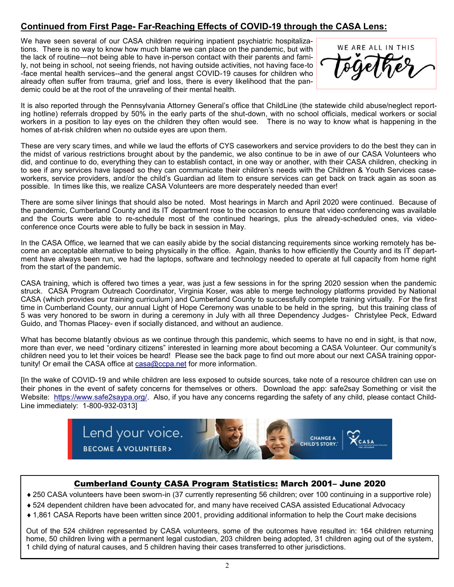## **Continued from First Page- Far-Reaching Effects of COVID-19 through the CASA Lens:**

We have seen several of our CASA children requiring inpatient psychiatric hospitalizations. There is no way to know how much blame we can place on the pandemic, but with the lack of routine—not being able to have in-person contact with their parents and family, not being in school, not seeing friends, not having outside activities, not having face-to -face mental health services--and the general angst COVID-19 causes for children who already often suffer from trauma, grief and loss, there is every likelihood that the pandemic could be at the root of the unraveling of their mental health.

WE ARE ALL IN THIS

It is also reported through the Pennsylvania Attorney General's office that ChildLine (the statewide child abuse/neglect reporting hotline) referrals dropped by 50% in the early parts of the shut-down, with no school officials, medical workers or social workers in a position to lay eyes on the children they often would see. There is no way to know what is happening in the homes of at-risk children when no outside eyes are upon them.

These are very scary times, and while we laud the efforts of CYS caseworkers and service providers to do the best they can in the midst of various restrictions brought about by the pandemic, we also continue to be in awe of our CASA Volunteers who did, and continue to do, everything they can to establish contact, in one way or another, with their CASA children, checking in to see if any services have lapsed so they can communicate their children's needs with the Children & Youth Services caseworkers, service providers, and/or the child's Guardian ad litem to ensure services can get back on track again as soon as possible. In times like this, we realize CASA Volunteers are more desperately needed than ever!

There are some silver linings that should also be noted. Most hearings in March and April 2020 were continued. Because of the pandemic, Cumberland County and its IT department rose to the occasion to ensure that video conferencing was available and the Courts were able to re-schedule most of the continued hearings, plus the already-scheduled ones, via videoconference once Courts were able to fully be back in session in May.

In the CASA Office, we learned that we can easily abide by the social distancing requirements since working remotely has become an acceptable alternative to being physically in the office. Again, thanks to how efficiently the County and its IT department have always been run, we had the laptops, software and technology needed to operate at full capacity from home right from the start of the pandemic.

CASA training, which is offered two times a year, was just a few sessions in for the spring 2020 session when the pandemic struck. CASA Program Outreach Coordinator, Virginia Koser, was able to merge technology platforms provided by National CASA (which provides our training curriculum) and Cumberland County to successfully complete training virtually. For the first time in Cumberland County, our annual Light of Hope Ceremony was unable to be held in the spring, but this training class of 5 was very honored to be sworn in during a ceremony in July with all three Dependency Judges- Christylee Peck, Edward Guido, and Thomas Placey- even if socially distanced, and without an audience.

What has become blatantly obvious as we continue through this pandemic, which seems to have no end in sight, is that now, more than ever, we need "ordinary citizens" interested in learning more about becoming a CASA Volunteer. Our community's children need you to let their voices be heard! Please see the back page to find out more about our next CASA training opportunity! Or email the CASA office at [casa@ccpa.net](mailto:casa@ccpa.net) for more information.

[In the wake of COVID-19 and while children are less exposed to outside sources, take note of a resource children can use on their phones in the event of safety concerns for themselves or others. Download the app: safe2say Something or visit the Website: [https://www.safe2saypa.org/.](https://www.safe2saypa.org/) Also, if you have any concerns regarding the safety of any child, please contact Child-Line immediately: 1-800-932-0313]



#### Cumberland County CASA Program Statistics: March 2001– June 2020

250 CASA volunteers have been sworn-in (37 currently representing 56 children; over 100 continuing in a supportive role)

- 524 dependent children have been advocated for, and many have received CASA assisted Educational Advocacy
- 1,861 CASA Reports have been written since 2001, providing additional information to help the Court make decisions

Out of the 524 children represented by CASA volunteers, some of the outcomes have resulted in: 164 children returning home, 50 children living with a permanent legal custodian, 203 children being adopted, 31 children aging out of the system, 1 child dying of natural causes, and 5 children having their cases transferred to other jurisdictions.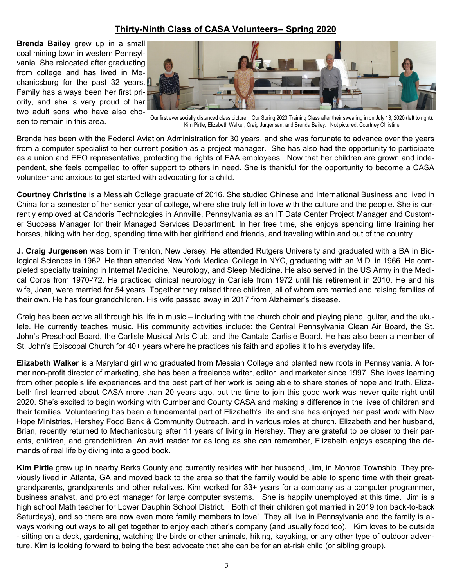### **Thirty-Ninth Class of CASA Volunteers– Spring 2020**

**Brenda Bailey** grew up in a small coal mining town in western Pennsylvania. She relocated after graduating from college and has lived in Mechanicsburg for the past 32 years. Family has always been her first priority, and she is very proud of her two adult sons who have also chosen to remain in this area.



Our first ever socially distanced class picture! Our Spring 2020 Training Class after their swearing in on July 13, 2020 (left to right): Kim Pirtle, Elizabeth Walker, Craig Jurgensen, and Brenda Bailey. Not pictured: Courtney Christine

Brenda has been with the Federal Aviation Administration for 30 years, and she was fortunate to advance over the years from a computer specialist to her current position as a project manager. She has also had the opportunity to participate as a union and EEO representative, protecting the rights of FAA employees. Now that her children are grown and independent, she feels compelled to offer support to others in need. She is thankful for the opportunity to become a CASA volunteer and anxious to get started with advocating for a child.

**Courtney Christine** is a Messiah College graduate of 2016. She studied Chinese and International Business and lived in China for a semester of her senior year of college, where she truly fell in love with the culture and the people. She is currently employed at Candoris Technologies in Annville, Pennsylvania as an IT Data Center Project Manager and Customer Success Manager for their Managed Services Department. In her free time, she enjoys spending time training her horses, hiking with her dog, spending time with her girlfriend and friends, and traveling within and out of the country.

**J. Craig Jurgensen** was born in Trenton, New Jersey. He attended Rutgers University and graduated with a BA in Biological Sciences in 1962. He then attended New York Medical College in NYC, graduating with an M.D. in 1966. He completed specialty training in Internal Medicine, Neurology, and Sleep Medicine. He also served in the US Army in the Medical Corps from 1970-'72. He practiced clinical neurology in Carlisle from 1972 until his retirement in 2010. He and his wife, Joan, were married for 54 years. Together they raised three children, all of whom are married and raising families of their own. He has four grandchildren. His wife passed away in 2017 from Alzheimer's disease.

Craig has been active all through his life in music – including with the church choir and playing piano, guitar, and the ukulele. He currently teaches music. His community activities include: the Central Pennsylvania Clean Air Board, the St. John's Preschool Board, the Carlisle Musical Arts Club, and the Cantate Carlisle Board. He has also been a member of St. John's Episcopal Church for 40+ years where he practices his faith and applies it to his everyday life.

**Elizabeth Walker** is a Maryland girl who graduated from Messiah College and planted new roots in Pennsylvania. A former non-profit director of marketing, she has been a freelance writer, editor, and marketer since 1997. She loves learning from other people's life experiences and the best part of her work is being able to share stories of hope and truth. Elizabeth first learned about CASA more than 20 years ago, but the time to join this good work was never quite right until 2020. She's excited to begin working with Cumberland County CASA and making a difference in the lives of children and their families. Volunteering has been a fundamental part of Elizabeth's life and she has enjoyed her past work with New Hope Ministries, Hershey Food Bank & Community Outreach, and in various roles at church. Elizabeth and her husband, Brian, recently returned to Mechanicsburg after 11 years of living in Hershey. They are grateful to be closer to their parents, children, and grandchildren. An avid reader for as long as she can remember, Elizabeth enjoys escaping the demands of real life by diving into a good book.

**Kim Pirtle** grew up in nearby Berks County and currently resides with her husband, Jim, in Monroe Township. They previously lived in Atlanta, GA and moved back to the area so that the family would be able to spend time with their greatgrandparents, grandparents and other relatives. Kim worked for 33+ years for a company as a computer programmer, business analyst, and project manager for large computer systems. She is happily unemployed at this time. Jim is a high school Math teacher for Lower Dauphin School District. Both of their children got married in 2019 (on back-to-back Saturdays), and so there are now even more family members to love! They all live in Pennsylvania and the family is always working out ways to all get together to enjoy each other's company (and usually food too). Kim loves to be outside - sitting on a deck, gardening, watching the birds or other animals, hiking, kayaking, or any other type of outdoor adventure. Kim is looking forward to being the best advocate that she can be for an at-risk child (or sibling group).